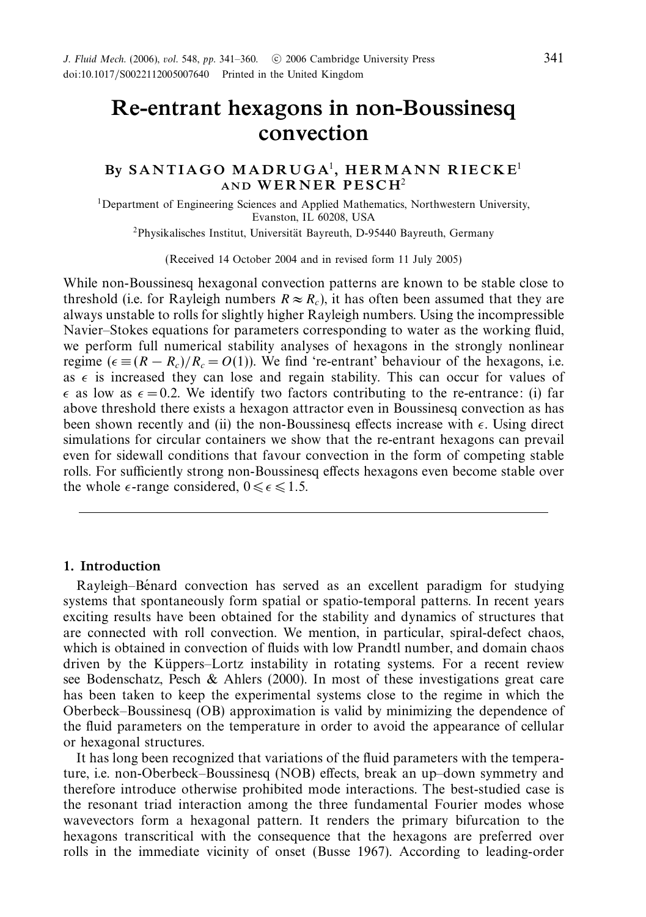# *Re-entrant hexagons in non-Boussinesq convection*

# *By S A N T I A G O M A D R U G A*<sup>1</sup>*, HERMANN RIECKE*<sup>1</sup> *AND WERNER PESCH*<sup>2</sup>

1Department of Engineering Sciences and Applied Mathematics, Northwestern University, Evanston, IL 60208, USA

<sup>2</sup>Physikalisches Institut, Universität Bayreuth, D-95440 Bayreuth, Germany

(Received 14 October 2004 and in revised form 11 July 2005)

While non-Boussinesq hexagonal convection patterns are known to be stable close to threshold (i.e. for Rayleigh numbers  $R \approx R_c$ ), it has often been assumed that they are always unstable to rolls for slightly higher Rayleigh numbers. Using the incompressible Navier–Stokes equations for parameters corresponding to water as the working fluid, we perform full numerical stability analyses of hexagons in the strongly nonlinear regime ( $\epsilon \equiv (R - R_c)/R_c = O(1)$ ). We find 're-entrant' behaviour of the hexagons, i.e. as  $\epsilon$  is increased they can lose and regain stability. This can occur for values of  $\epsilon$  as low as  $\epsilon = 0.2$ . We identify two factors contributing to the re-entrance: (i) far above threshold there exists a hexagon attractor even in Boussinesq convection as has been shown recently and (ii) the non-Boussinesq effects increase with  $\epsilon$ . Using direct simulations for circular containers we show that the re-entrant hexagons can prevail even for sidewall conditions that favour convection in the form of competing stable rolls. For sufficiently strong non-Boussinesq effects hexagons even become stable over the whole  $\epsilon$ -range considered,  $0 \leq \epsilon \leq 1.5$ .

## *1. Introduction*

Rayleigh–Benard convection has served as an excellent paradigm for studying ´ systems that spontaneously form spatial or spatio-temporal patterns. In recent years exciting results have been obtained for the stability and dynamics of structures that are connected with roll convection. We mention, in particular, spiral-defect chaos, which is obtained in convection of fluids with low Prandtl number, and domain chaos driven by the Küppers–Lortz instability in rotating systems. For a recent review see Bodenschatz, Pesch & Ahlers (2000). In most of these investigations great care has been taken to keep the experimental systems close to the regime in which the Oberbeck–Boussinesq (OB) approximation is valid by minimizing the dependence of the fluid parameters on the temperature in order to avoid the appearance of cellular or hexagonal structures.

It has long been recognized that variations of the fluid parameters with the temperature, i.e. non-Oberbeck–Boussinesq (NOB) effects, break an up–down symmetry and therefore introduce otherwise prohibited mode interactions. The best-studied case is the resonant triad interaction among the three fundamental Fourier modes whose wavevectors form a hexagonal pattern. It renders the primary bifurcation to the hexagons transcritical with the consequence that the hexagons are preferred over rolls in the immediate vicinity of onset (Busse 1967). According to leading-order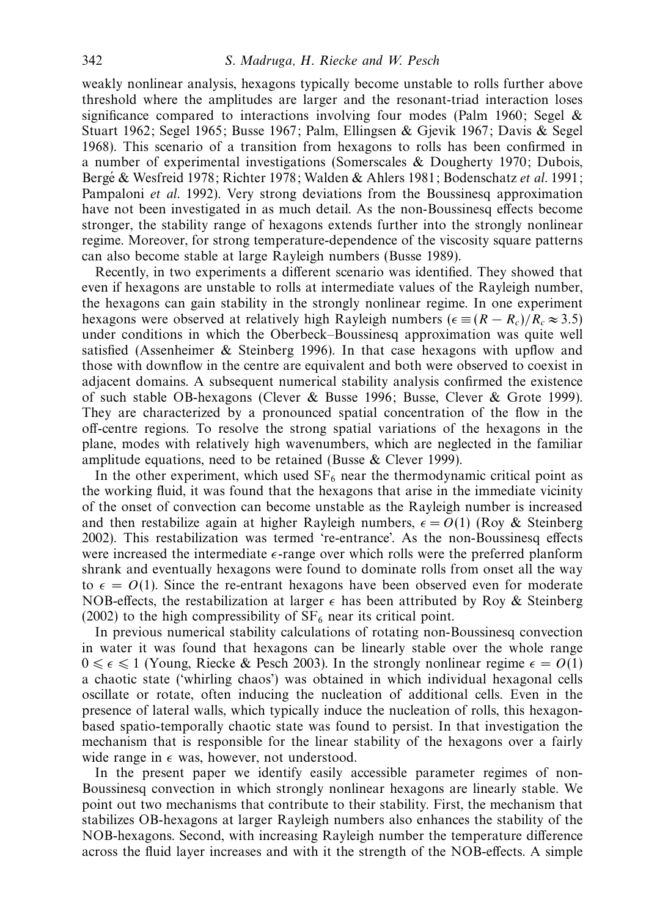weakly nonlinear analysis, hexagons typically become unstable to rolls further above threshold where the amplitudes are larger and the resonant-triad interaction loses significance compared to interactions involving four modes (Palm 1960; Segel  $\&$ Stuart 1962; Segel 1965; Busse 1967; Palm, Ellingsen & Gjevik 1967; Davis & Segel 1968). This scenario of a transition from hexagons to rolls has been confirmed in a number of experimental investigations (Somerscales & Dougherty 1970; Dubois, Bergé & Wesfreid 1978; Richter 1978; Walden & Ahlers 1981; Bodenschatz et al. 1991; Pampaloni et al. 1992). Very strong deviations from the Boussinesq approximation have not been investigated in as much detail. As the non-Boussinesq effects become stronger, the stability range of hexagons extends further into the strongly nonlinear regime. Moreover, for strong temperature-dependence of the viscosity square patterns can also become stable at large Rayleigh numbers (Busse 1989).

Recently, in two experiments a different scenario was identified. They showed that even if hexagons are unstable to rolls at intermediate values of the Rayleigh number, the hexagons can gain stability in the strongly nonlinear regime. In one experiment hexagons were observed at relatively high Rayleigh numbers ( $\epsilon = (R - R_c)/R_c \approx 3.5$ ) under conditions in which the Oberbeck–Boussinesq approximation was quite well satisfied (Assenheimer & Steinberg 1996). In that case hexagons with upflow and those with downflow in the centre are equivalent and both were observed to coexist in adjacent domains. A subsequent numerical stability analysis confirmed the existence of such stable OB-hexagons (Clever & Busse 1996; Busse, Clever & Grote 1999). They are characterized by a pronounced spatial concentration of the flow in the off-centre regions. To resolve the strong spatial variations of the hexagons in the plane, modes with relatively high wavenumbers, which are neglected in the familiar amplitude equations, need to be retained (Busse & Clever 1999).

In the other experiment, which used  $SF_6$  near the thermodynamic critical point as the working fluid, it was found that the hexagons that arise in the immediate vicinity of the onset of convection can become unstable as the Rayleigh number is increased and then restabilize again at higher Rayleigh numbers,  $\epsilon = O(1)$  (Roy & Steinberg) 2002). This restabilization was termed 're-entrance'. As the non-Boussinesq effects were increased the intermediate  $\epsilon$ -range over which rolls were the preferred planform shrank and eventually hexagons were found to dominate rolls from onset all the way to  $\epsilon = O(1)$ . Since the re-entrant hexagons have been observed even for moderate NOB-effects, the restabilization at larger  $\epsilon$  has been attributed by Roy & Steinberg (2002) to the high compressibility of  $SF_6$  near its critical point.

In previous numerical stability calculations of rotating non-Boussinesq convection in water it was found that hexagons can be linearly stable over the whole range  $0 \le \epsilon \le 1$  (Young, Riecke & Pesch 2003). In the strongly nonlinear regime  $\epsilon = O(1)$ a chaotic state ('whirling chaos') was obtained in which individual hexagonal cells oscillate or rotate, often inducing the nucleation of additional cells. Even in the presence of lateral walls, which typically induce the nucleation of rolls, this hexagonbased spatio-temporally chaotic state was found to persist. In that investigation the mechanism that is responsible for the linear stability of the hexagons over a fairly wide range in  $\epsilon$  was, however, not understood.

In the present paper we identify easily accessible parameter regimes of non-Boussinesq convection in which strongly nonlinear hexagons are linearly stable. We point out two mechanisms that contribute to their stability. First, the mechanism that stabilizes OB-hexagons at larger Rayleigh numbers also enhances the stability of the NOB-hexagons. Second, with increasing Rayleigh number the temperature difference across the fluid layer increases and with it the strength of the NOB-effects. A simple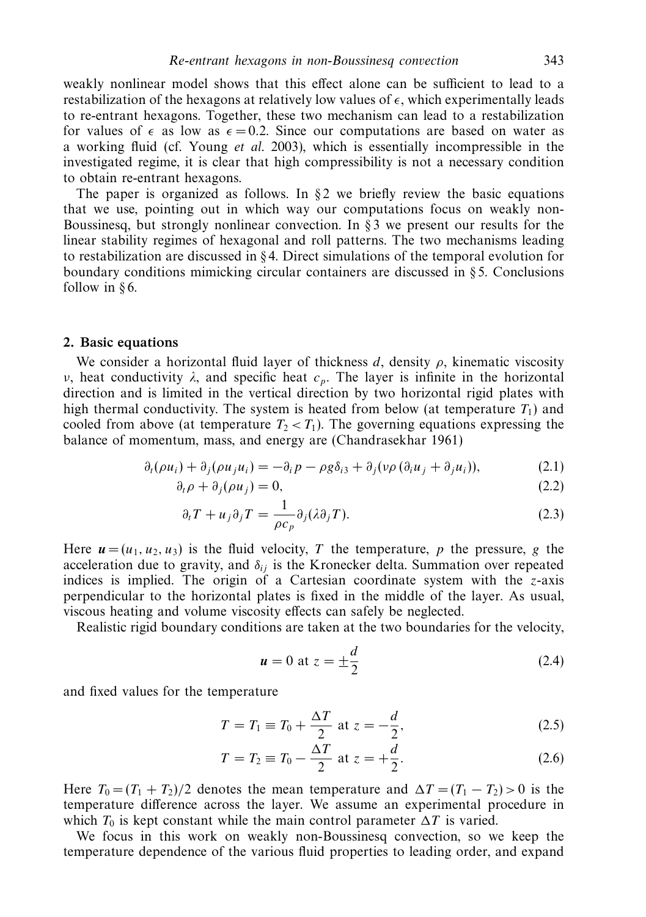weakly nonlinear model shows that this effect alone can be sufficient to lead to a restabilization of the hexagons at relatively low values of  $\epsilon$ , which experimentally leads to re-entrant hexagons. Together, these two mechanism can lead to a restabilization for values of  $\epsilon$  as low as  $\epsilon = 0.2$ . Since our computations are based on water as a working fluid (cf. Young et al. 2003), which is essentially incompressible in the investigated regime, it is clear that high compressibility is not a necessary condition to obtain re-entrant hexagons.

The paper is organized as follows. In  $\S$ 2 we briefly review the basic equations that we use, pointing out in which way our computations focus on weakly non-Boussinesq, but strongly nonlinear convection. In  $\S$  3 we present our results for the linear stability regimes of hexagonal and roll patterns. The two mechanisms leading to restabilization are discussed in  $\S 4$ . Direct simulations of the temporal evolution for boundary conditions mimicking circular containers are discussed in § 5. Conclusions follow in § 6.

#### *2. Basic equations*

We consider a horizontal fluid layer of thickness  $d$ , density  $\rho$ , kinematic viscosity *ν*, heat conductivity  $λ$ , and specific heat  $c<sub>p</sub>$ . The layer is infinite in the horizontal direction and is limited in the vertical direction by two horizontal rigid plates with high thermal conductivity. The system is heated from below (at temperature  $T_1$ ) and cooled from above (at temperature  $T_2 < T_1$ ). The governing equations expressing the balance of momentum, mass, and energy are (Chandrasekhar 1961)

$$
\partial_t(\rho u_i) + \partial_j(\rho u_j u_i) = -\partial_i p - \rho g \delta_{i3} + \partial_j(\nu \rho (\partial_i u_j + \partial_j u_i)), \tag{2.1}
$$

$$
\partial_t \rho + \partial_j(\rho u_j) = 0,\tag{2.2}
$$

$$
\partial_t T + u_j \partial_j T = \frac{1}{\rho c_p} \partial_j (\lambda \partial_j T). \tag{2.3}
$$

Here  $u = (u_1, u_2, u_3)$  is the fluid velocity, *T* the temperature, *p* the pressure, *g* the acceleration due to gravity, and  $\delta_{ij}$  is the Kronecker delta. Summation over repeated indices is implied. The origin of a Cartesian coordinate system with the *z*-axis perpendicular to the horizontal plates is fixed in the middle of the layer. As usual, viscous heating and volume viscosity effects can safely be neglected.

Realistic rigid boundary conditions are taken at the two boundaries for the velocity,

$$
u = 0 \text{ at } z = \pm \frac{d}{2} \tag{2.4}
$$

and fixed values for the temperature

$$
T = T_1 \equiv T_0 + \frac{\Delta T}{2} \text{ at } z = -\frac{d}{2},\tag{2.5}
$$

$$
T = T_2 \equiv T_0 - \frac{\Delta T}{2} \text{ at } z = +\frac{d}{2}.
$$
 (2.6)

Here  $T_0 = (T_1 + T_2)/2$  denotes the mean temperature and  $\Delta T = (T_1 - T_2) > 0$  is the temperature difference across the layer. We assume an experimental procedure in which  $T_0$  is kept constant while the main control parameter  $\Delta T$  is varied.

We focus in this work on weakly non-Boussinesq convection, so we keep the temperature dependence of the various fluid properties to leading order, and expand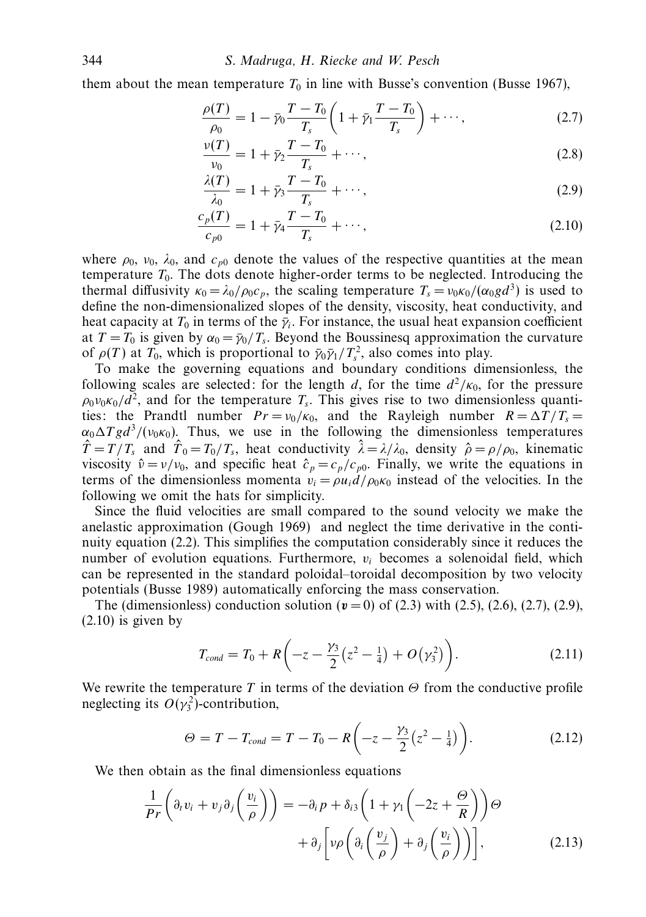them about the mean temperature  $T_0$  in line with Busse's convention (Busse 1967),

$$
\frac{\rho(T)}{\rho_0} = 1 - \bar{\gamma}_0 \frac{T - T_0}{T_s} \left( 1 + \bar{\gamma}_1 \frac{T - T_0}{T_s} \right) + \cdots,
$$
\n(2.7)

$$
\frac{\nu(T)}{\nu_0} = 1 + \bar{\gamma}_2 \frac{T - T_0}{T_s} + \cdots,
$$
\n(2.8)

$$
\frac{\lambda(T)}{\lambda_0} = 1 + \bar{\gamma}_3 \frac{T - T_0}{T_s} + \cdots,\tag{2.9}
$$

$$
\frac{c_p(T)}{c_{p0}} = 1 + \bar{\gamma}_4 \frac{T - T_0}{T_s} + \cdots,
$$
\n(2.10)

where  $\rho_0$ ,  $v_0$ ,  $\lambda_0$ , and  $c_{p0}$  denote the values of the respective quantities at the mean temperature  $T_0$ . The dots denote higher-order terms to be neglected. Introducing the thermal diffusivity  $\kappa_0 = \lambda_0 / \rho_0 c_p$ , the scaling temperature  $T_s = v_0 \kappa_0 / (\alpha_0 g d^3)$  is used to define the non-dimensionalized slopes of the density, viscosity, heat conductivity, and heat capacity at  $T_0$  in terms of the  $\bar{y}_i$ . For instance, the usual heat expansion coefficient at  $T = T_0$  is given by  $\alpha_0 = \bar{\gamma}_0 / T_s$ . Beyond the Boussinesq approximation the curvature of  $\rho(T)$  at  $T_0$ , which is proportional to  $\bar{\gamma}_0 \bar{\gamma}_1 / T_s^2$ , also comes into play.

To make the governing equations and boundary conditions dimensionless, the following scales are selected: for the length *d*, for the time  $d^2/\kappa_0$ , for the pressure  $\rho_0 v_0 \kappa_0 / d^2$ , and for the temperature *T<sub>s</sub>*. This gives rise to two dimensionless quantities: the Prandtl number  $Pr = v_0/\kappa_0$ , and the Rayleigh number  $R = \Delta T/T_s =$  $\alpha_0 \Delta T g d^3 / (\nu_0 \kappa_0)$ . Thus, we use in the following the dimensionless temperatures  $\hat{T} = T/T_s$  and  $\hat{T}_0 = T_0/T_s$ , heat conductivity  $\hat{\lambda} = \lambda/\lambda_0$ , density  $\hat{\rho} = \rho/\rho_0$ , kinematic viscosity  $\hat{v} = v/v_0$ , and specific heat  $\hat{c}_p = c_p/c_{p0}$ . Finally, we write the equations in terms of the dimensionless momenta  $v_i = \rho u_i d / \rho_0 \kappa_0$  instead of the velocities. In the following we omit the hats for simplicity.

Since the fluid velocities are small compared to the sound velocity we make the anelastic approximation (Gough 1969) and neglect the time derivative in the continuity equation (2.2). This simplifies the computation considerably since it reduces the number of evolution equations. Furthermore, *vi* becomes a solenoidal field, which can be represented in the standard poloidal–toroidal decomposition by two velocity potentials (Busse 1989) automatically enforcing the mass conservation.

The (dimensionless) conduction solution  $(v = 0)$  of (2.3) with (2.5), (2.6), (2.7), (2.9),  $(2.10)$  is given by

$$
T_{cond} = T_0 + R \left( -z - \frac{\gamma_3}{2} \left( z^2 - \frac{1}{4} \right) + O \left( \gamma_3^2 \right) \right).
$$
 (2.11)

We rewrite the temperature *T* in terms of the deviation *Θ* from the conductive profile neglecting its  $O(\gamma_3^2)$ -contribution,

$$
\Theta = T - T_{cond} = T - T_0 - R \left( -z - \frac{\gamma_3}{2} \left( z^2 - \frac{1}{4} \right) \right). \tag{2.12}
$$

We then obtain as the final dimensionless equations

$$
\frac{1}{Pr}\left(\partial_t v_i + v_j \partial_j \left(\frac{v_i}{\rho}\right)\right) = -\partial_i p + \delta_{i3} \left(1 + \gamma_1 \left(-2z + \frac{\Theta}{R}\right)\right) \Theta \n+ \partial_j \left[\nu \rho \left(\partial_i \left(\frac{v_j}{\rho}\right) + \partial_j \left(\frac{v_i}{\rho}\right)\right)\right],
$$
\n(2.13)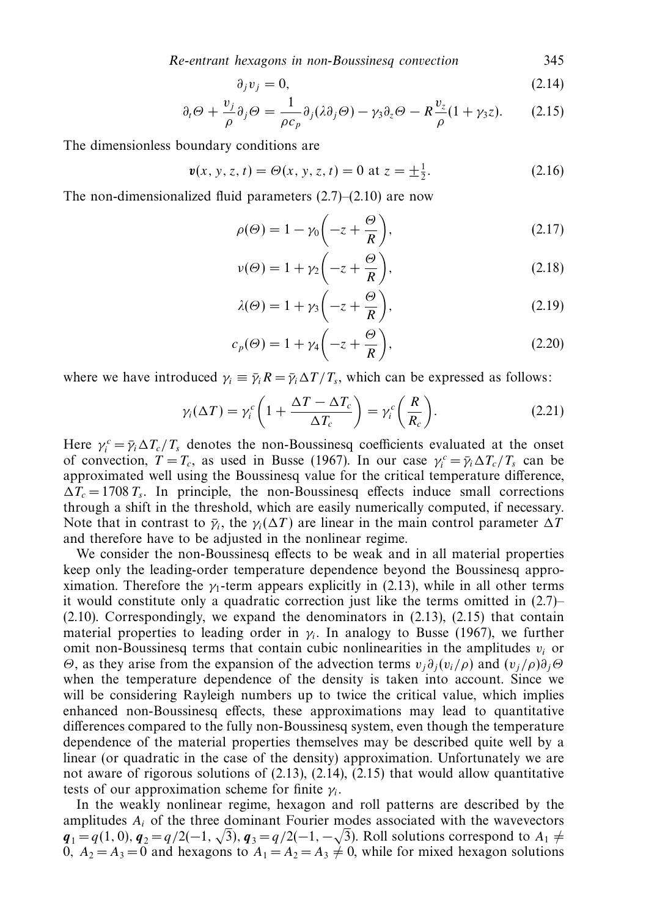Re-entrant hexagons in non-Boussinesq convection 345

$$
\partial_j v_j = 0,\tag{2.14}
$$

$$
\partial_t \Theta + \frac{v_j}{\rho} \partial_j \Theta = \frac{1}{\rho c_p} \partial_j (\lambda \partial_j \Theta) - \gamma_3 \partial_z \Theta - R \frac{v_z}{\rho} (1 + \gamma_3 z). \tag{2.15}
$$

The dimensionless boundary conditions are

$$
\mathbf{v}(x, y, z, t) = \Theta(x, y, z, t) = 0 \text{ at } z = \pm \frac{1}{2}.
$$
 (2.16)

The non-dimensionalized fluid parameters  $(2.7)$ – $(2.10)$  are now

$$
\rho(\Theta) = 1 - \gamma_0 \left( -z + \frac{\Theta}{R} \right),\tag{2.17}
$$

$$
\nu(\Theta) = 1 + \gamma_2 \left( -z + \frac{\Theta}{R} \right),\tag{2.18}
$$

$$
\lambda(\Theta) = 1 + \gamma_3 \left( -z + \frac{\Theta}{R} \right),\tag{2.19}
$$

$$
c_p(\Theta) = 1 + \gamma_4 \left( -z + \frac{\Theta}{R} \right),\tag{2.20}
$$

where we have introduced  $\gamma_i \equiv \bar{\gamma}_i R = \bar{\gamma}_i \Delta T / T_s$ , which can be expressed as follows:

$$
\gamma_i(\Delta T) = \gamma_i^c \left( 1 + \frac{\Delta T - \Delta T_c}{\Delta T_c} \right) = \gamma_i^c \left( \frac{R}{R_c} \right). \tag{2.21}
$$

Here  $\gamma_i^c = \bar{\gamma}_i \Delta T_c / T_s$  denotes the non-Boussinesq coefficients evaluated at the onset of convection,  $T = T_c$ , as used in Busse (1967). In our case  $\gamma_i^c = \bar{\gamma}_i \Delta T_c / T_s$  can be approximated well using the Boussinesq value for the critical temperature difference,  $\Delta T_c = 1708 T_s$ . In principle, the non-Boussinesq effects induce small corrections through a shift in the threshold, which are easily numerically computed, if necessary. Note that in contrast to  $\bar{\gamma}_i$ , the  $\gamma_i(\Delta T)$  are linear in the main control parameter  $\Delta T$ and therefore have to be adjusted in the nonlinear regime.

We consider the non-Boussinesq effects to be weak and in all material properties keep only the leading-order temperature dependence beyond the Boussinesq approximation. Therefore the  $\gamma_1$ -term appears explicitly in (2.13), while in all other terms it would constitute only a quadratic correction just like the terms omitted in (2.7)– (2.10). Correspondingly, we expand the denominators in (2.13), (2.15) that contain material properties to leading order in  $\gamma_i$ . In analogy to Busse (1967), we further omit non-Boussinesq terms that contain cubic nonlinearities in the amplitudes  $v_i$  or *Θ*, as they arise from the expansion of the advection terms  $v_j \partial_j (v_i / \rho)$  and  $(v_j / \rho) \partial_j \Theta$ when the temperature dependence of the density is taken into account. Since we will be considering Rayleigh numbers up to twice the critical value, which implies enhanced non-Boussinesq effects, these approximations may lead to quantitative differences compared to the fully non-Boussinesq system, even though the temperature dependence of the material properties themselves may be described quite well by a linear (or quadratic in the case of the density) approximation. Unfortunately we are not aware of rigorous solutions of  $(2.13)$ ,  $(2.14)$ ,  $(2.15)$  that would allow quantitative tests of our approximation scheme for finite *γi*.

In the weakly nonlinear regime, hexagon and roll patterns are described by the amplitudes *Ai* of the three dominant Fourier modes associated with the wavevectors  $q_1 = q(1, 0), q_2 = q/2(-1, \sqrt{3}), q_3 = q/2(-1, -\sqrt{3}).$  Roll solutions correspond to  $A_1 \neq$ 0*,*  $A_2 = A_3 = 0$  and hexagons to  $A_1 = A_2 = A_3 \neq 0$ , while for mixed hexagon solutions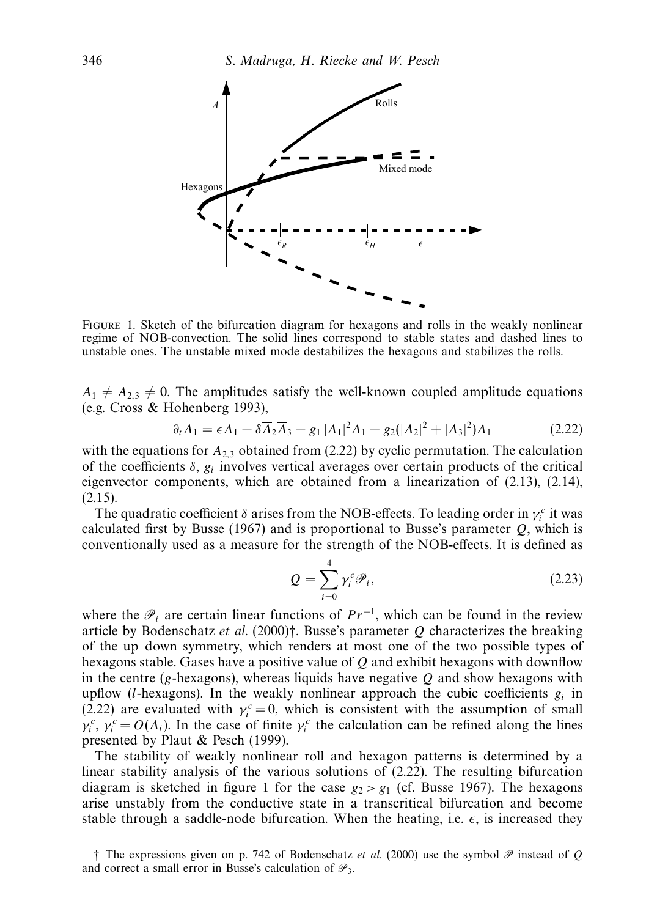

Figure 1. Sketch of the bifurcation diagram for hexagons and rolls in the weakly nonlinear regime of NOB-convection. The solid lines correspond to stable states and dashed lines to unstable ones. The unstable mixed mode destabilizes the hexagons and stabilizes the rolls.

 $A_1 \neq A_{2,3} \neq 0$ . The amplitudes satisfy the well-known coupled amplitude equations (e.g. Cross & Hohenberg 1993),

$$
\partial_t A_1 = \epsilon A_1 - \delta \overline{A}_2 \overline{A}_3 - g_1 |A_1|^2 A_1 - g_2 (|A_2|^2 + |A_3|^2) A_1 \tag{2.22}
$$

with the equations for  $A_{2,3}$  obtained from (2.22) by cyclic permutation. The calculation of the coefficients *δ*, *gi* involves vertical averages over certain products of the critical eigenvector components, which are obtained from a linearization of (2.13), (2.14), (2.15).

The quadratic coefficient  $\delta$  arises from the NOB-effects. To leading order in  $\gamma_i^c$  it was calculated first by Busse (1967) and is proportional to Busse's parameter *Q*, which is conventionally used as a measure for the strength of the NOB-effects. It is defined as

$$
Q = \sum_{i=0}^{4} \gamma_i^c \mathcal{P}_i,
$$
\n(2.23)

where the  $\mathcal{P}_i$  are certain linear functions of  $Pr^{-1}$ , which can be found in the review article by Bodenschatz et al. (2000)†. Busse's parameter *Q* characterizes the breaking of the up–down symmetry, which renders at most one of the two possible types of hexagons stable. Gases have a positive value of *Q* and exhibit hexagons with downflow in the centre ( $g$ -hexagons), whereas liquids have negative  $Q$  and show hexagons with upflow (*l*-hexagons). In the weakly nonlinear approach the cubic coefficients  $g_i$  in (2.22) are evaluated with  $\gamma_i^c = 0$ , which is consistent with the assumption of small  $\gamma_i^c$ ,  $\gamma_i^c = O(A_i)$ . In the case of finite  $\gamma_i^c$  the calculation can be refined along the lines presented by Plaut & Pesch (1999).

The stability of weakly nonlinear roll and hexagon patterns is determined by a linear stability analysis of the various solutions of (2.22). The resulting bifurcation diagram is sketched in figure 1 for the case  $g_2 > g_1$  (cf. Busse 1967). The hexagons arise unstably from the conductive state in a transcritical bifurcation and become stable through a saddle-node bifurcation. When the heating, i.e.  $\epsilon$ , is increased they

 $\dagger$  The expressions given on p. 742 of Bodenschatz *et al.* (2000) use the symbol  $\mathscr P$  instead of *Q* and correct a small error in Busse's calculation of  $\mathscr{P}_3$ .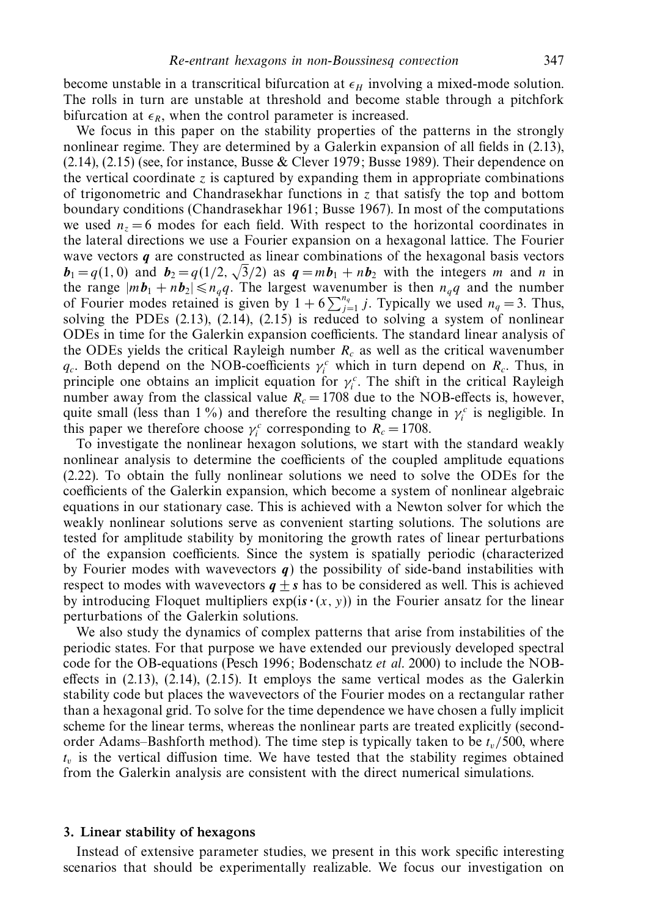become unstable in a transcritical bifurcation at  $\epsilon_H$  involving a mixed-mode solution. The rolls in turn are unstable at threshold and become stable through a pitchfork bifurcation at  $\epsilon_R$ , when the control parameter is increased.

We focus in this paper on the stability properties of the patterns in the strongly nonlinear regime. They are determined by a Galerkin expansion of all fields in (2.13), (2.14), (2.15) (see, for instance, Busse & Clever 1979; Busse 1989). Their dependence on the vertical coordinate  $\zeta$  is captured by expanding them in appropriate combinations of trigonometric and Chandrasekhar functions in *z* that satisfy the top and bottom boundary conditions (Chandrasekhar 1961; Busse 1967). In most of the computations we used  $n_z = 6$  modes for each field. With respect to the horizontal coordinates in the lateral directions we use a Fourier expansion on a hexagonal lattice. The Fourier wave vectors *q* are constructed as linear combinations of the hexagonal basis vectors  **and**  $**b**<sub>2</sub> = q(1/2, \sqrt{3}/2)$  **as**  $**q** = m**b**<sub>1</sub> + n**b**<sub>2</sub>$  **with the integers** *m* **and** *n* **in** the range  $|m\mathbf{b}_1 + n\mathbf{b}_2| \le n_q q$ . The largest wavenumber is then  $n_q q$  and the number<br>of Fourier modes retained is given by  $1 + 6 \sum_{j=1}^{n_q} j$ . Typically we used  $n_q = 3$ . Thus, solving the PDEs (2.13), (2.14), (2.15) is reduced to solving a system of nonlinear ODEs in time for the Galerkin expansion coefficients. The standard linear analysis of the ODEs yields the critical Rayleigh number  $R_c$  as well as the critical wavenumber *q<sub>c</sub>*. Both depend on the NOB-coefficients  $\gamma_i^c$  which in turn depend on  $R_c$ . Thus, in principle one obtains an implicit equation for  $\gamma_i^c$ . The shift in the critical Rayleigh number away from the classical value  $R_c = 1708$  due to the NOB-effects is, however, quite small (less than 1%) and therefore the resulting change in  $\gamma_i^c$  is negligible. In this paper we therefore choose  $\gamma_i^c$  corresponding to  $R_c = 1708$ .

To investigate the nonlinear hexagon solutions, we start with the standard weakly nonlinear analysis to determine the coefficients of the coupled amplitude equations (2.22). To obtain the fully nonlinear solutions we need to solve the ODEs for the coefficients of the Galerkin expansion, which become a system of nonlinear algebraic equations in our stationary case. This is achieved with a Newton solver for which the weakly nonlinear solutions serve as convenient starting solutions. The solutions are tested for amplitude stability by monitoring the growth rates of linear perturbations of the expansion coefficients. Since the system is spatially periodic (characterized by Fourier modes with wavevectors *q*) the possibility of side-band instabilities with respect to modes with wavevectors  $q + s$  has to be considered as well. This is achieved by introducing Floquet multipliers  $exp(is·(x, y))$  in the Fourier ansatz for the linear perturbations of the Galerkin solutions.

We also study the dynamics of complex patterns that arise from instabilities of the periodic states. For that purpose we have extended our previously developed spectral code for the OB-equations (Pesch 1996; Bodenschatz *et al.* 2000) to include the NOBeffects in (2.13), (2.14), (2.15). It employs the same vertical modes as the Galerkin stability code but places the wavevectors of the Fourier modes on a rectangular rather than a hexagonal grid. To solve for the time dependence we have chosen a fully implicit scheme for the linear terms, whereas the nonlinear parts are treated explicitly (secondorder Adams–Bashforth method). The time step is typically taken to be  $t_v/500$ , where  $t_v$  is the vertical diffusion time. We have tested that the stability regimes obtained from the Galerkin analysis are consistent with the direct numerical simulations.

## *3. Linear stability of hexagons*

Instead of extensive parameter studies, we present in this work specific interesting scenarios that should be experimentally realizable. We focus our investigation on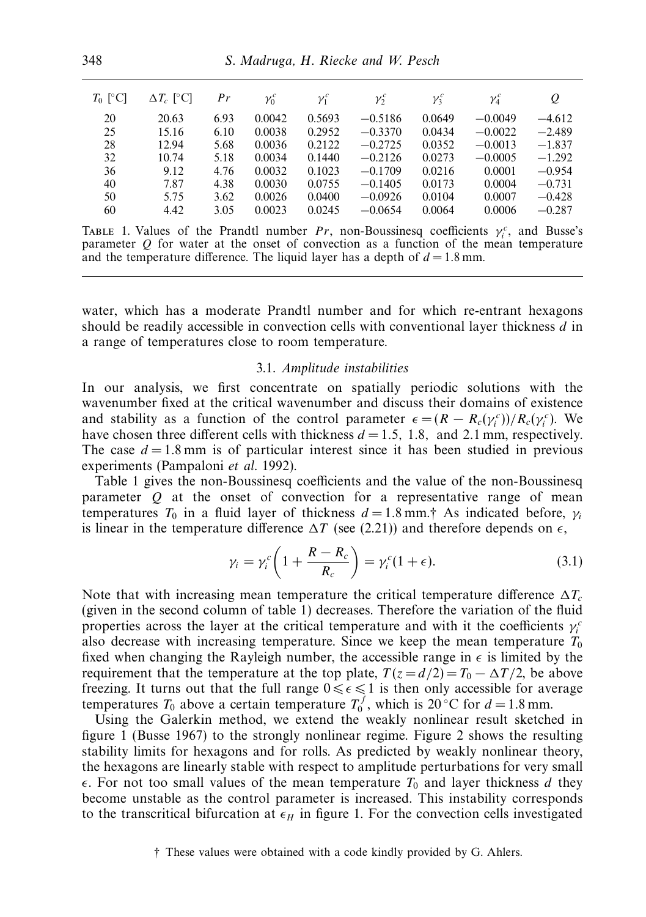| $T_0$ [°C] | $\Delta T_c$ [°C] | Pr   | $\gamma_0^c$ | $\gamma_1^c$ | $\gamma_2^c$ | $\gamma_3^c$ | $\gamma_4^c$ | Q        |
|------------|-------------------|------|--------------|--------------|--------------|--------------|--------------|----------|
| 20         | 20.63             | 6.93 | 0.0042       | 0.5693       | $-0.5186$    | 0.0649       | $-0.0049$    | $-4.612$ |
| 25         | 15.16             | 6.10 | 0.0038       | 0.2952       | $-0.3370$    | 0.0434       | $-0.0022$    | $-2.489$ |
| 28         | 12.94             | 5.68 | 0.0036       | 0.2122       | $-0.2725$    | 0.0352       | $-0.0013$    | $-1.837$ |
| 32         | 10.74             | 5.18 | 0.0034       | 0.1440       | $-0.2126$    | 0.0273       | $-0.0005$    | $-1.292$ |
| 36         | 9.12              | 4.76 | 0.0032       | 0.1023       | $-0.1709$    | 0.0216       | 0.0001       | $-0.954$ |
| 40         | 7.87              | 4.38 | 0.0030       | 0.0755       | $-0.1405$    | 0.0173       | 0.0004       | $-0.731$ |
| 50         | 5.75              | 3.62 | 0.0026       | 0.0400       | $-0.0926$    | 0.0104       | 0.0007       | $-0.428$ |
| 60         | 4.42              | 3.05 | 0.0023       | 0.0245       | $-0.0654$    | 0.0064       | 0.0006       | $-0.287$ |
|            |                   |      |              |              |              |              |              |          |

TABLE 1. Values of the Prandtl number *Pr*, non-Boussinesq coefficients  $\gamma_i^c$ , and Busse's parameter *Q* for water at the onset of convection as a function of the mean temperature and the temperature difference. The liquid layer has a depth of  $d = 1.8$  mm.

water, which has a moderate Prandtl number and for which re-entrant hexagons should be readily accessible in convection cells with conventional layer thickness *d* in a range of temperatures close to room temperature.

#### 3.1. Amplitude instabilities

In our analysis, we first concentrate on spatially periodic solutions with the wavenumber fixed at the critical wavenumber and discuss their domains of existence and stability as a function of the control parameter  $\epsilon = (R - R_c(\gamma_i^c))/R_c(\gamma_i^c)$ . We have chosen three different cells with thickness *d* = 1*.*5*,* 1*.*8*,* and 2*.*1 mm, respectively. The case  $d = 1.8$  mm is of particular interest since it has been studied in previous experiments (Pampaloni et al. 1992).

Table 1 gives the non-Boussinesq coefficients and the value of the non-Boussinesq parameter *Q* at the onset of convection for a representative range of mean temperatures  $T_0$  in a fluid layer of thickness  $d = 1.8$  mm.<sup>†</sup> As indicated before,  $\gamma_i$ is linear in the temperature difference  $\Delta T$  (see (2.21)) and therefore depends on  $\epsilon$ ,

$$
\gamma_i = \gamma_i^c \left( 1 + \frac{R - R_c}{R_c} \right) = \gamma_i^c (1 + \epsilon). \tag{3.1}
$$

Note that with increasing mean temperature the critical temperature difference  $\Delta T_c$ (given in the second column of table 1) decreases. Therefore the variation of the fluid properties across the layer at the critical temperature and with it the coefficients  $\gamma_i^c$ also decrease with increasing temperature. Since we keep the mean temperature  $T_0$ fixed when changing the Rayleigh number, the accessible range in  $\epsilon$  is limited by the requirement that the temperature at the top plate,  $T(z = d/2) = T_0 - \Delta T/2$ , be above freezing. It turns out that the full range  $0 \le \epsilon \le 1$  is then only accessible for average temperatures  $T_0$  above a certain temperature  $T_0^f$ , which is 20 °C for  $d = 1.8$  mm.

Using the Galerkin method, we extend the weakly nonlinear result sketched in figure 1 (Busse 1967) to the strongly nonlinear regime. Figure 2 shows the resulting stability limits for hexagons and for rolls. As predicted by weakly nonlinear theory, the hexagons are linearly stable with respect to amplitude perturbations for very small  $\epsilon$ . For not too small values of the mean temperature  $T_0$  and layer thickness *d* they become unstable as the control parameter is increased. This instability corresponds to the transcritical bifurcation at  $\epsilon_H$  in figure 1. For the convection cells investigated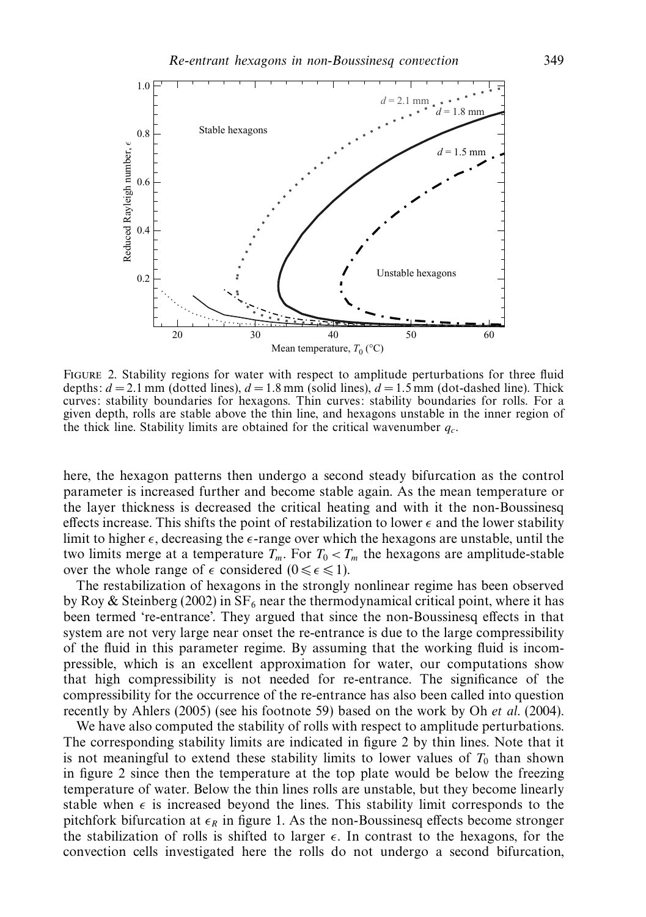

Figure 2. Stability regions for water with respect to amplitude perturbations for three fluid depths:  $d = 2.1$  mm (dotted lines),  $d = 1.8$  mm (solid lines),  $d = 1.5$  mm (dot-dashed line). Thick curves: stability boundaries for hexagons. Thin curves: stability boundaries for rolls. For a given depth, rolls are stable above the thin line, and hexagons unstable in the inner region of the thick line. Stability limits are obtained for the critical wavenumber *qc*.

here, the hexagon patterns then undergo a second steady bifurcation as the control parameter is increased further and become stable again. As the mean temperature or the layer thickness is decreased the critical heating and with it the non-Boussinesq effects increase. This shifts the point of restabilization to lower  $\epsilon$  and the lower stability limit to higher  $\epsilon$ , decreasing the  $\epsilon$ -range over which the hexagons are unstable, until the two limits merge at a temperature  $T_m$ . For  $T_0 < T_m$  the hexagons are amplitude-stable over the whole range of  $\epsilon$  considered  $(0 \leq \epsilon \leq 1)$ .

The restabilization of hexagons in the strongly nonlinear regime has been observed by Roy & Steinberg (2002) in  $SF_6$  near the thermodynamical critical point, where it has been termed 're-entrance'. They argued that since the non-Boussinesq effects in that system are not very large near onset the re-entrance is due to the large compressibility of the fluid in this parameter regime. By assuming that the working fluid is incompressible, which is an excellent approximation for water, our computations show that high compressibility is not needed for re-entrance. The significance of the compressibility for the occurrence of the re-entrance has also been called into question recently by Ahlers (2005) (see his footnote 59) based on the work by Oh et al. (2004).

We have also computed the stability of rolls with respect to amplitude perturbations. The corresponding stability limits are indicated in figure 2 by thin lines. Note that it is not meaningful to extend these stability limits to lower values of  $T_0$  than shown in figure 2 since then the temperature at the top plate would be below the freezing temperature of water. Below the thin lines rolls are unstable, but they become linearly stable when  $\epsilon$  is increased beyond the lines. This stability limit corresponds to the pitchfork bifurcation at  $\epsilon_R$  in figure 1. As the non-Boussinesq effects become stronger the stabilization of rolls is shifted to larger  $\epsilon$ . In contrast to the hexagons, for the convection cells investigated here the rolls do not undergo a second bifurcation,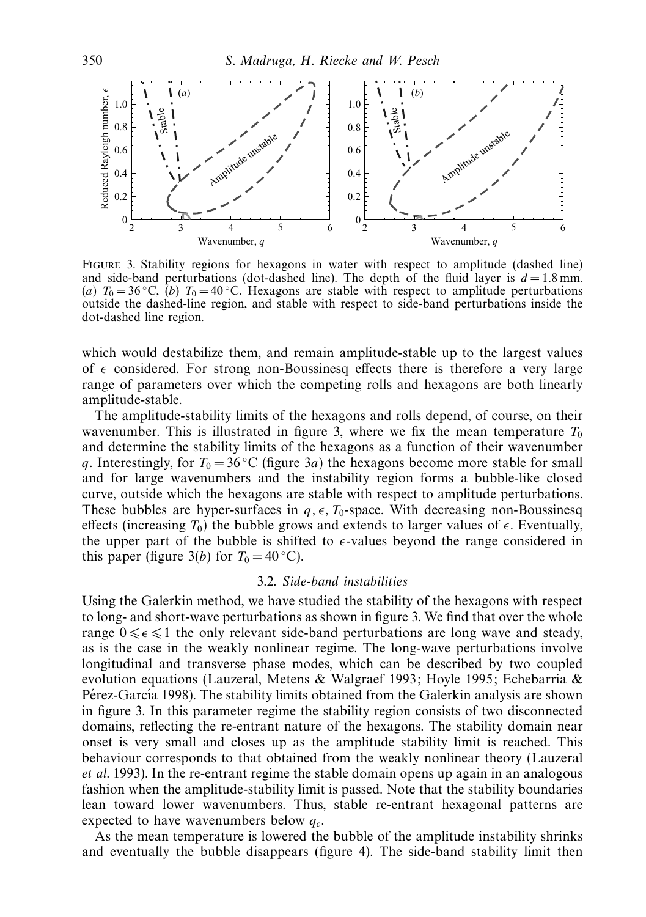

Figure 3. Stability regions for hexagons in water with respect to amplitude (dashed line) and side-band perturbations (dot-dashed line). The depth of the fluid layer is  $d = 1.8$  mm. (*a*)  $T_0 = 36^\circ \text{C}$ , (*b*)  $T_0 = 40^\circ \text{C}$ . Hexagons are stable with respect to amplitude perturbations outside the dashed-line region, and stable with respect to side-band perturbations inside the dot-dashed line region.

which would destabilize them, and remain amplitude-stable up to the largest values of  $\epsilon$  considered. For strong non-Boussinesq effects there is therefore a very large range of parameters over which the competing rolls and hexagons are both linearly amplitude-stable.

The amplitude-stability limits of the hexagons and rolls depend, of course, on their wavenumber. This is illustrated in figure 3, where we fix the mean temperature  $T_0$ and determine the stability limits of the hexagons as a function of their wavenumber *q*. Interestingly, for  $T_0 = 36 \degree \text{C}$  (figure 3*a*) the hexagons become more stable for small and for large wavenumbers and the instability region forms a bubble-like closed curve, outside which the hexagons are stable with respect to amplitude perturbations. These bubbles are hyper-surfaces in  $q, \epsilon, T_0$ -space. With decreasing non-Boussinesq effects (increasing  $T_0$ ) the bubble grows and extends to larger values of  $\epsilon$ . Eventually, the upper part of the bubble is shifted to  $\epsilon$ -values beyond the range considered in this paper (figure 3(*b*) for  $T_0 = 40$  °C).

## 3.2. Side-band instabilities

Using the Galerkin method, we have studied the stability of the hexagons with respect to long- and short-wave perturbations as shown in figure 3. We find that over the whole range  $0 \leq \epsilon \leq 1$  the only relevant side-band perturbations are long wave and steady, as is the case in the weakly nonlinear regime. The long-wave perturbations involve longitudinal and transverse phase modes, which can be described by two coupled evolution equations (Lauzeral, Metens & Walgraef 1993; Hoyle 1995; Echebarria & Pérez-García 1998). The stability limits obtained from the Galerkin analysis are shown in figure 3. In this parameter regime the stability region consists of two disconnected domains, reflecting the re-entrant nature of the hexagons. The stability domain near onset is very small and closes up as the amplitude stability limit is reached. This behaviour corresponds to that obtained from the weakly nonlinear theory (Lauzeral et al. 1993). In the re-entrant regime the stable domain opens up again in an analogous fashion when the amplitude-stability limit is passed. Note that the stability boundaries lean toward lower wavenumbers. Thus, stable re-entrant hexagonal patterns are expected to have wavenumbers below *qc*.

As the mean temperature is lowered the bubble of the amplitude instability shrinks and eventually the bubble disappears (figure 4). The side-band stability limit then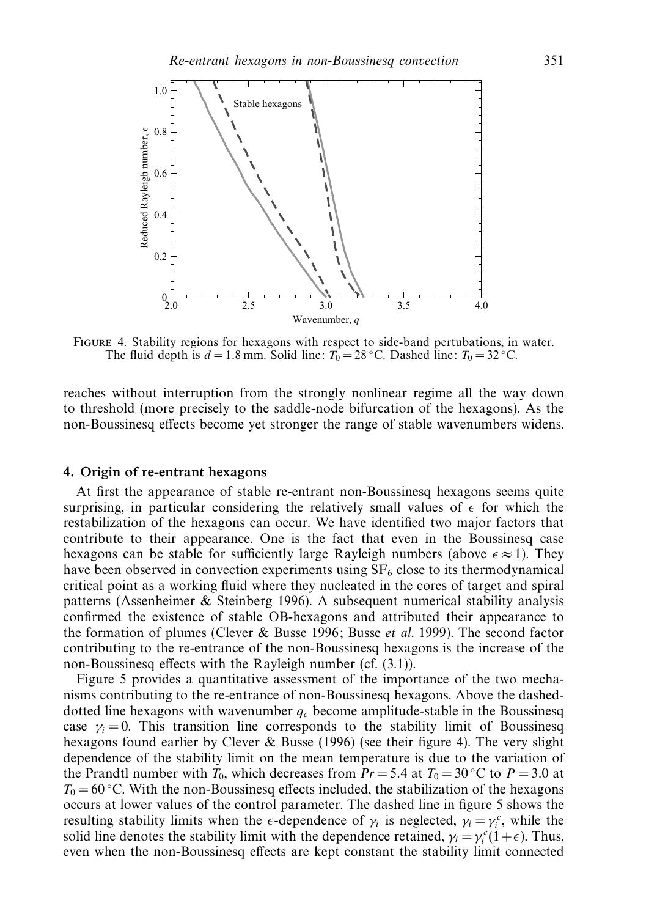

Figure 4. Stability regions for hexagons with respect to side-band pertubations, in water. The fluid depth is  $d = 1.8$  mm. Solid line:  $T_0 = 28$  °C. Dashed line:  $T_0 = 32$  °C.

reaches without interruption from the strongly nonlinear regime all the way down to threshold (more precisely to the saddle-node bifurcation of the hexagons). As the non-Boussinesq effects become yet stronger the range of stable wavenumbers widens.

# *4. Origin of re-entrant hexagons*

At first the appearance of stable re-entrant non-Boussinesq hexagons seems quite surprising, in particular considering the relatively small values of  $\epsilon$  for which the restabilization of the hexagons can occur. We have identified two major factors that contribute to their appearance. One is the fact that even in the Boussinesq case hexagons can be stable for sufficiently large Rayleigh numbers (above  $\epsilon \approx 1$ ). They have been observed in convection experiments using  $SF<sub>6</sub>$  close to its thermodynamical critical point as a working fluid where they nucleated in the cores of target and spiral patterns (Assenheimer & Steinberg 1996). A subsequent numerical stability analysis confirmed the existence of stable OB-hexagons and attributed their appearance to the formation of plumes (Clever & Busse 1996; Busse et al. 1999). The second factor contributing to the re-entrance of the non-Boussinesq hexagons is the increase of the non-Boussinesq effects with the Rayleigh number (cf. (3.1)).

Figure 5 provides a quantitative assessment of the importance of the two mechanisms contributing to the re-entrance of non-Boussinesq hexagons. Above the dasheddotted line hexagons with wavenumber  $q_c$  become amplitude-stable in the Boussinesq case  $\gamma_i = 0$ . This transition line corresponds to the stability limit of Boussinesq hexagons found earlier by Clever & Busse (1996) (see their figure 4). The very slight dependence of the stability limit on the mean temperature is due to the variation of the Prandtl number with  $T_0$ , which decreases from  $Pr = 5.4$  at  $T_0 = 30$ °C to  $P = 3.0$  at  $T_0 = 60$  °C. With the non-Boussinesq effects included, the stabilization of the hexagons occurs at lower values of the control parameter. The dashed line in figure 5 shows the resulting stability limits when the  $\epsilon$ -dependence of  $\gamma_i$  is neglected,  $\gamma_i = \gamma_i^c$ , while the solid line denotes the stability limit with the dependence retained,  $\gamma_i = \gamma_i^c (1 + \epsilon)$ . Thus, even when the non-Boussinesq effects are kept constant the stability limit connected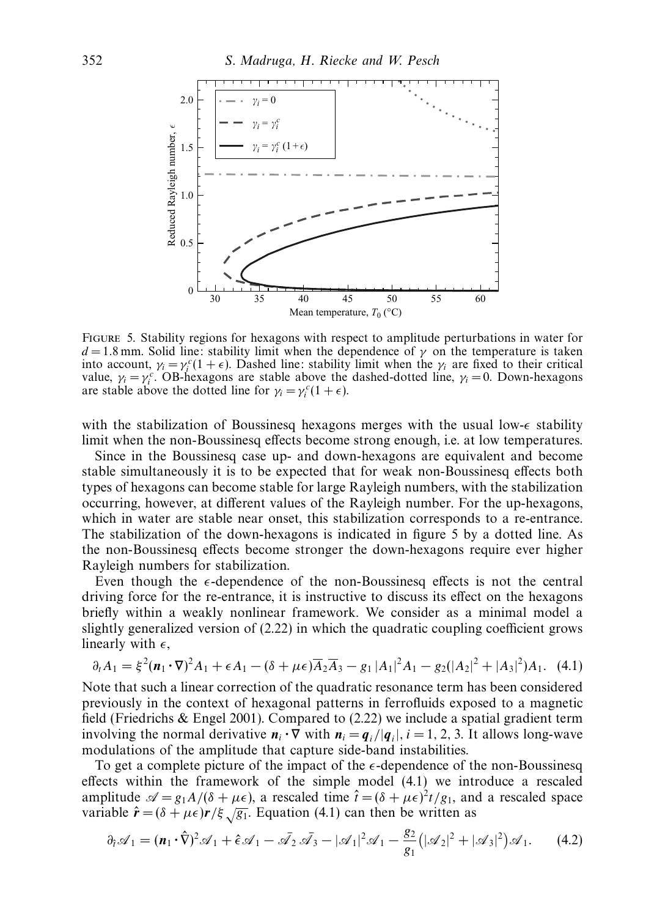

Figure 5. Stability regions for hexagons with respect to amplitude perturbations in water for  $d = 1.8$  mm. Solid line: stability limit when the dependence of  $\gamma$  on the temperature is taken into account,  $\gamma_i = \gamma_i^c (1 + \epsilon)$ . Dashed line: stability limit when the  $\gamma_i$  are fixed to their critical value,  $\gamma_i = \gamma_i^c$ . OB-hexagons are stable above the dashed-dotted line,  $\gamma_i = 0$ . Down-hexagons are stable above the dotted line for  $\gamma_i = \gamma_i^c (1 + \epsilon)$ .

with the stabilization of Boussinesq hexagons merges with the usual low- $\epsilon$  stability limit when the non-Boussinesq effects become strong enough, i.e. at low temperatures.

Since in the Boussinesq case up- and down-hexagons are equivalent and become stable simultaneously it is to be expected that for weak non-Boussinesq effects both types of hexagons can become stable for large Rayleigh numbers, with the stabilization occurring, however, at different values of the Rayleigh number. For the up-hexagons, which in water are stable near onset, this stabilization corresponds to a re-entrance. The stabilization of the down-hexagons is indicated in figure 5 by a dotted line. As the non-Boussinesq effects become stronger the down-hexagons require ever higher Rayleigh numbers for stabilization.

Even though the  $\epsilon$ -dependence of the non-Boussinesq effects is not the central driving force for the re-entrance, it is instructive to discuss its effect on the hexagons briefly within a weakly nonlinear framework. We consider as a minimal model a slightly generalized version of (2.22) in which the quadratic coupling coefficient grows linearly with  $\epsilon$ ,

$$
\partial_t A_1 = \xi^2 (\mathbf{n}_1 \cdot \nabla)^2 A_1 + \epsilon A_1 - (\delta + \mu \epsilon) \overline{A}_2 \overline{A}_3 - g_1 |A_1|^2 A_1 - g_2 (|A_2|^2 + |A_3|^2) A_1. \tag{4.1}
$$

Note that such a linear correction of the quadratic resonance term has been considered previously in the context of hexagonal patterns in ferrofluids exposed to a magnetic field (Friedrichs & Engel 2001). Compared to (2.22) we include a spatial gradient term involving the normal derivative  $n_i \cdot \nabla$  with  $n_i = q_i / |q_i|$ ,  $i = 1, 2, 3$ . It allows long-wave modulations of the amplitude that capture side-band instabilities.

To get a complete picture of the impact of the  $\epsilon$ -dependence of the non-Boussinesq effects within the framework of the simple model (4.1) we introduce a rescaled amplitude  $\mathcal{A} = g_1 A/(\delta + \mu \epsilon)$ , a rescaled time  $\hat{t} = (\delta + \mu \epsilon)^2 t/g_1$ , and a rescaled space variable  $\hat{\mathbf{r}} = (\delta + \mu \epsilon) \mathbf{r} / \xi \sqrt{g_1}$ . Equation (4.1) can then be written as

$$
\partial_i \mathscr{A}_1 = (\mathbf{n}_1 \cdot \hat{\nabla})^2 \mathscr{A}_1 + \hat{\epsilon} \mathscr{A}_1 - \bar{\mathscr{A}}_2 \bar{\mathscr{A}}_3 - |\mathscr{A}_1|^2 \mathscr{A}_1 - \frac{g_2}{g_1} (|\mathscr{A}_2|^2 + |\mathscr{A}_3|^2) \mathscr{A}_1. \tag{4.2}
$$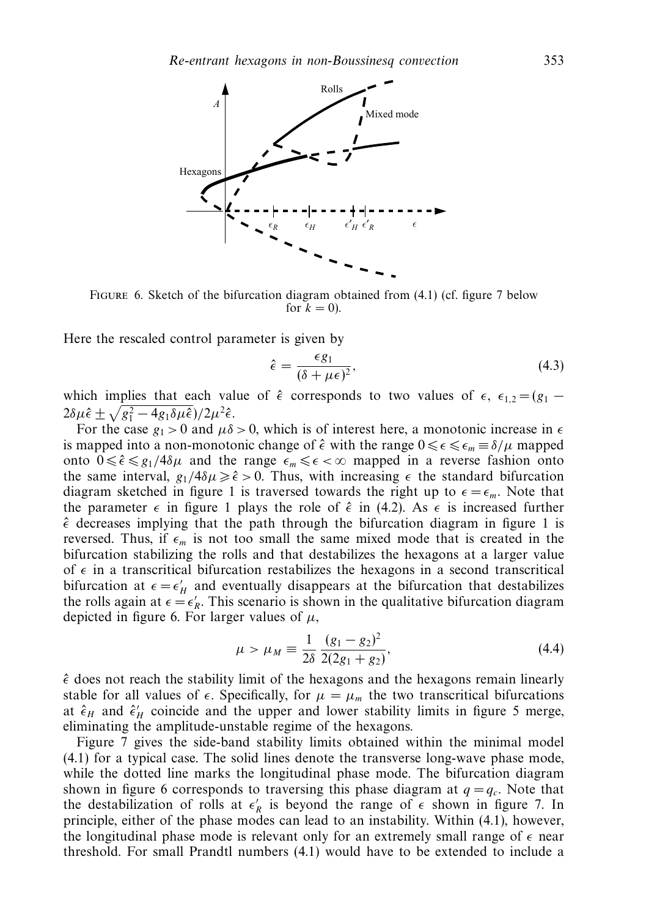

Figure 6. Sketch of the bifurcation diagram obtained from (4.1) (cf. figure 7 below for  $k = 0$ ).

Here the rescaled control parameter is given by

$$
\hat{\epsilon} = \frac{\epsilon g_1}{(\delta + \mu \epsilon)^2},\tag{4.3}
$$

which implies that each value of  $\hat{\epsilon}$  corresponds to two values of  $\epsilon$ ,  $\epsilon_{1,2} = (g_1 2\delta\mu\hat{\epsilon} \pm \sqrt{g_1^2 - 4g_1\delta\mu\hat{\epsilon}})/2\mu^2\hat{\epsilon}.$ 

For the case  $g_1 > 0$  and  $\mu \delta > 0$ , which is of interest here, a monotonic increase in  $\epsilon$ is mapped into a non-monotonic change of  $\hat{\epsilon}$  with the range  $0 \leq \epsilon \leq \epsilon_m \equiv \delta/\mu$  mapped onto  $0 \le \hat{\epsilon} \le g_1/4\delta\mu$  and the range  $\epsilon_m \le \epsilon < \infty$  mapped in a reverse fashion onto the same interval,  $g_1/4\delta\mu \geq \hat{\epsilon} > 0$ . Thus, with increasing  $\epsilon$  the standard bifurcation diagram sketched in figure 1 is traversed towards the right up to  $\epsilon = \epsilon_m$ . Note that the parameter  $\epsilon$  in figure 1 plays the role of  $\hat{\epsilon}$  in (4.2). As  $\epsilon$  is increased further  $\hat{\epsilon}$  decreases implying that the path through the bifurcation diagram in figure 1 is reversed. Thus, if  $\epsilon_m$  is not too small the same mixed mode that is created in the bifurcation stabilizing the rolls and that destabilizes the hexagons at a larger value of  $\epsilon$  in a transcritical bifurcation restabilizes the hexagons in a second transcritical bifurcation at  $\epsilon = \epsilon_H$  and eventually disappears at the bifurcation that destabilizes the rolls again at  $\epsilon = \epsilon'_R$ . This scenario is shown in the qualitative bifurcation diagram depicted in figure 6. For larger values of  $\mu$ ,

$$
\mu > \mu_M \equiv \frac{1}{2\delta} \frac{(g_1 - g_2)^2}{2(2g_1 + g_2)},\tag{4.4}
$$

 $\hat{\epsilon}$  does not reach the stability limit of the hexagons and the hexagons remain linearly stable for all values of  $\epsilon$ . Specifically, for  $\mu = \mu_m$  the two transcritical bifurcations at  $\hat{\epsilon}_H$  and  $\hat{\epsilon}'_H$  coincide and the upper and lower stability limits in figure 5 merge, eliminating the amplitude-unstable regime of the hexagons.

Figure 7 gives the side-band stability limits obtained within the minimal model (4.1) for a typical case. The solid lines denote the transverse long-wave phase mode, while the dotted line marks the longitudinal phase mode. The bifurcation diagram shown in figure 6 corresponds to traversing this phase diagram at  $q = q_c$ . Note that the destabilization of rolls at  $\epsilon'_R$  is beyond the range of  $\epsilon$  shown in figure 7. In principle, either of the phase modes can lead to an instability. Within (4.1), however, the longitudinal phase mode is relevant only for an extremely small range of  $\epsilon$  near threshold. For small Prandtl numbers (4.1) would have to be extended to include a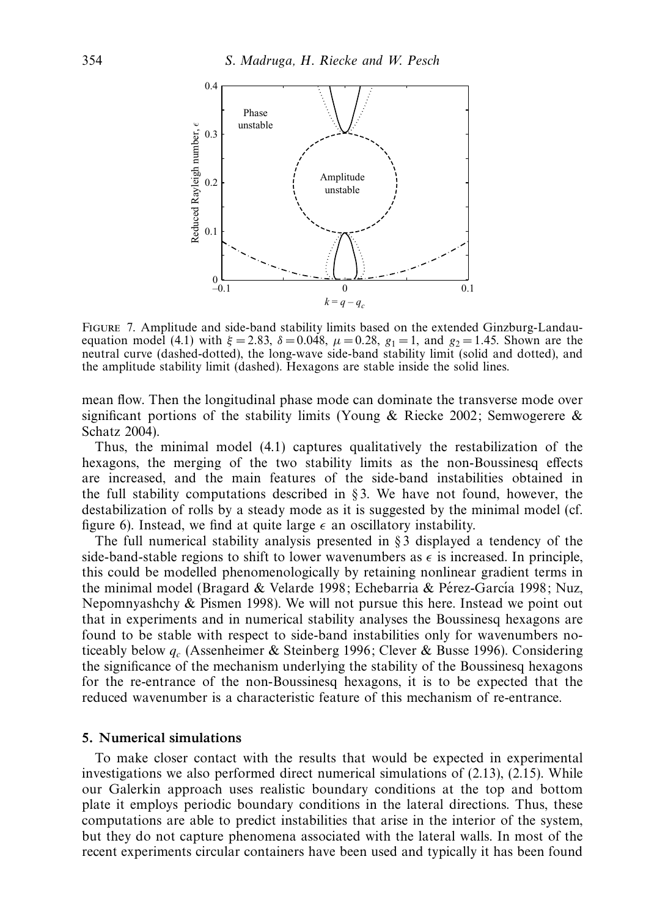

Figure 7. Amplitude and side-band stability limits based on the extended Ginzburg-Landauequation model (4.1) with  $ξ = 2.83$ ,  $δ = 0.048$ ,  $μ = 0.28$ ,  $g_1 = 1$ , and  $g_2 = 1.45$ . Shown are the neutral curve (dashed-dotted), the long-wave side-band stability limit (solid and dotted), and the amplitude stability limit (dashed). Hexagons are stable inside the solid lines.

mean flow. Then the longitudinal phase mode can dominate the transverse mode over significant portions of the stability limits (Young & Riecke 2002; Semwogerere  $\&$ Schatz 2004).

Thus, the minimal model (4.1) captures qualitatively the restabilization of the hexagons, the merging of the two stability limits as the non-Boussinesq effects are increased, and the main features of the side-band instabilities obtained in the full stability computations described in §3. We have not found, however, the destabilization of rolls by a steady mode as it is suggested by the minimal model (cf. figure 6). Instead, we find at quite large  $\epsilon$  an oscillatory instability.

The full numerical stability analysis presented in § 3 displayed a tendency of the side-band-stable regions to shift to lower wavenumbers as  $\epsilon$  is increased. In principle, this could be modelled phenomenologically by retaining nonlinear gradient terms in the minimal model (Bragard & Velarde 1998; Echebarria & Pérez-García 1998; Nuz, Nepomnyashchy & Pismen 1998). We will not pursue this here. Instead we point out that in experiments and in numerical stability analyses the Boussinesq hexagons are found to be stable with respect to side-band instabilities only for wavenumbers noticeably below *qc* (Assenheimer & Steinberg 1996; Clever & Busse 1996). Considering the significance of the mechanism underlying the stability of the Boussinesq hexagons for the re-entrance of the non-Boussinesq hexagons, it is to be expected that the reduced wavenumber is a characteristic feature of this mechanism of re-entrance.

# *5. Numerical simulations*

To make closer contact with the results that would be expected in experimental investigations we also performed direct numerical simulations of (2.13), (2.15). While our Galerkin approach uses realistic boundary conditions at the top and bottom plate it employs periodic boundary conditions in the lateral directions. Thus, these computations are able to predict instabilities that arise in the interior of the system, but they do not capture phenomena associated with the lateral walls. In most of the recent experiments circular containers have been used and typically it has been found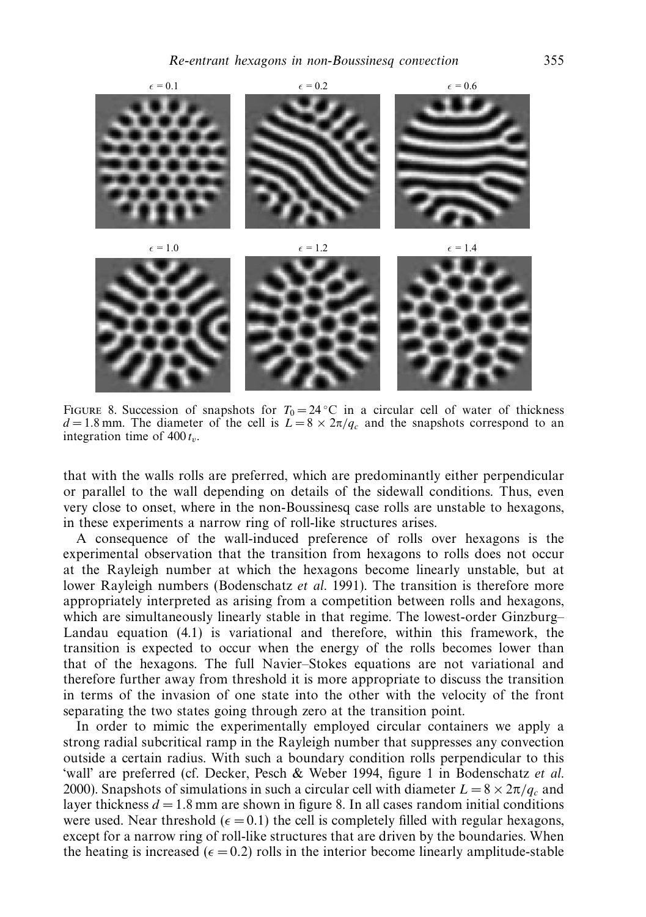

FIGURE 8. Succession of snapshots for  $T_0 = 24 \degree C$  in a circular cell of water of thickness  $d = 1.8$  mm. The diameter of the cell is  $\overline{L} = 8 \times 2\pi / q_c$  and the snapshots correspond to an integration time of  $400 t_v$ .

that with the walls rolls are preferred, which are predominantly either perpendicular or parallel to the wall depending on details of the sidewall conditions. Thus, even very close to onset, where in the non-Boussinesq case rolls are unstable to hexagons, in these experiments a narrow ring of roll-like structures arises.

A consequence of the wall-induced preference of rolls over hexagons is the experimental observation that the transition from hexagons to rolls does not occur at the Rayleigh number at which the hexagons become linearly unstable, but at lower Rayleigh numbers (Bodenschatz et al. 1991). The transition is therefore more appropriately interpreted as arising from a competition between rolls and hexagons, which are simultaneously linearly stable in that regime. The lowest-order Ginzburg– Landau equation (4.1) is variational and therefore, within this framework, the transition is expected to occur when the energy of the rolls becomes lower than that of the hexagons. The full Navier–Stokes equations are not variational and therefore further away from threshold it is more appropriate to discuss the transition in terms of the invasion of one state into the other with the velocity of the front separating the two states going through zero at the transition point.

In order to mimic the experimentally employed circular containers we apply a strong radial subcritical ramp in the Rayleigh number that suppresses any convection outside a certain radius. With such a boundary condition rolls perpendicular to this 'wall' are preferred (cf. Decker, Pesch & Weber 1994, figure 1 in Bodenschatz et al. 2000). Snapshots of simulations in such a circular cell with diameter  $L = 8 \times 2\pi / q_c$  and layer thickness  $d = 1.8$  mm are shown in figure 8. In all cases random initial conditions were used. Near threshold  $(\epsilon = 0.1)$  the cell is completely filled with regular hexagons, except for a narrow ring of roll-like structures that are driven by the boundaries. When the heating is increased  $(\epsilon = 0.2)$  rolls in the interior become linearly amplitude-stable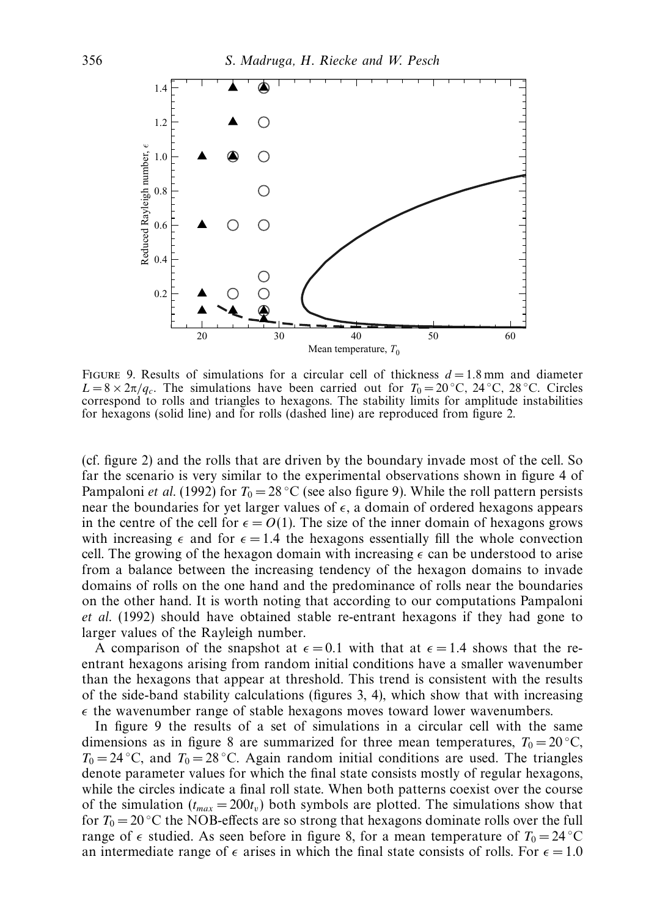

FIGURE 9. Results of simulations for a circular cell of thickness  $d = 1.8$  mm and diameter  $L = 8 \times 2\pi / q_c$ . The simulations have been carried out for  $T_0 = 20$  °C,  $24$  °C,  $28$  °C. Circles correspond to rolls and triangles to hexagons. The stability limits for amplitude instabilities for hexagons (solid line) and for rolls (dashed line) are reproduced from figure 2.

(cf. figure 2) and the rolls that are driven by the boundary invade most of the cell. So far the scenario is very similar to the experimental observations shown in figure 4 of Pampaloni *et al.* (1992) for  $T_0 = 28 \degree C$  (see also figure 9). While the roll pattern persists near the boundaries for yet larger values of  $\epsilon$ , a domain of ordered hexagons appears in the centre of the cell for  $\epsilon = O(1)$ . The size of the inner domain of hexagons grows with increasing  $\epsilon$  and for  $\epsilon = 1.4$  the hexagons essentially fill the whole convection cell. The growing of the hexagon domain with increasing  $\epsilon$  can be understood to arise from a balance between the increasing tendency of the hexagon domains to invade domains of rolls on the one hand and the predominance of rolls near the boundaries on the other hand. It is worth noting that according to our computations Pampaloni et al. (1992) should have obtained stable re-entrant hexagons if they had gone to larger values of the Rayleigh number.

A comparison of the snapshot at  $\epsilon = 0.1$  with that at  $\epsilon = 1.4$  shows that the reentrant hexagons arising from random initial conditions have a smaller wavenumber than the hexagons that appear at threshold. This trend is consistent with the results of the side-band stability calculations (figures 3, 4), which show that with increasing  $\epsilon$  the wavenumber range of stable hexagons moves toward lower wavenumbers.

In figure 9 the results of a set of simulations in a circular cell with the same dimensions as in figure 8 are summarized for three mean temperatures,  $T_0 = 20$  °C,  $T_0 = 24 \degree C$ , and  $T_0 = 28 \degree C$ . Again random initial conditions are used. The triangles denote parameter values for which the final state consists mostly of regular hexagons, while the circles indicate a final roll state. When both patterns coexist over the course of the simulation  $(t_{max} = 200t_v)$  both symbols are plotted. The simulations show that for  $T_0 = 20$  °C the NOB-effects are so strong that hexagons dominate rolls over the full range of  $\epsilon$  studied. As seen before in figure 8, for a mean temperature of  $T_0 = 24\degree\text{C}$ an intermediate range of  $\epsilon$  arises in which the final state consists of rolls. For  $\epsilon = 1.0$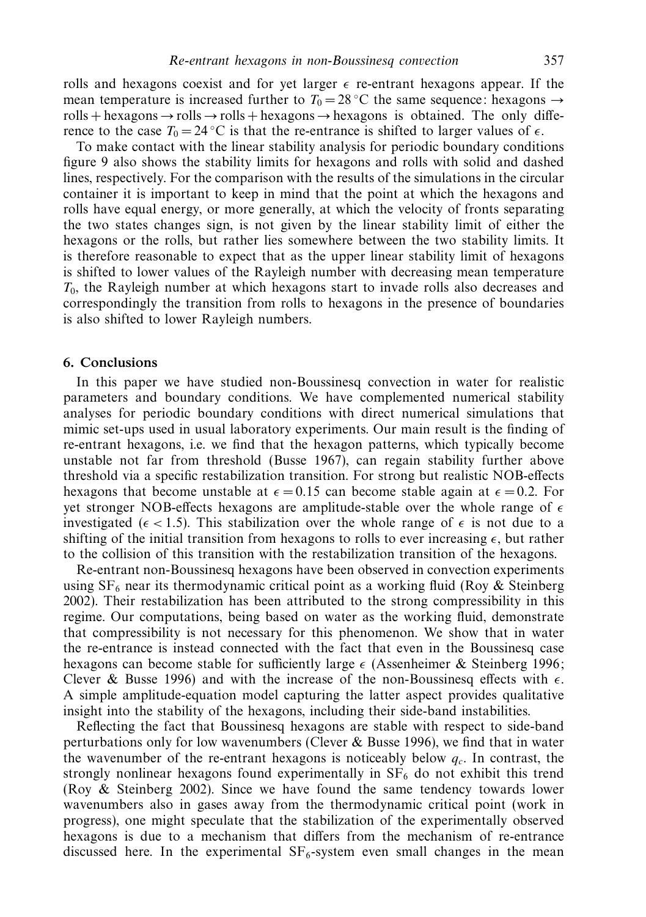rolls and hexagons coexist and for yet larger  $\epsilon$  re-entrant hexagons appear. If the mean temperature is increased further to  $T_0 = 28$  °C the same sequence: hexagons  $\rightarrow$ rolls + hexagons  $\rightarrow$  rolls + hexagons  $\rightarrow$  hexagons is obtained. The only difference to the case  $T_0 = 24 \degree \text{C}$  is that the re-entrance is shifted to larger values of  $\epsilon$ .

To make contact with the linear stability analysis for periodic boundary conditions figure 9 also shows the stability limits for hexagons and rolls with solid and dashed lines, respectively. For the comparison with the results of the simulations in the circular container it is important to keep in mind that the point at which the hexagons and rolls have equal energy, or more generally, at which the velocity of fronts separating the two states changes sign, is not given by the linear stability limit of either the hexagons or the rolls, but rather lies somewhere between the two stability limits. It is therefore reasonable to expect that as the upper linear stability limit of hexagons is shifted to lower values of the Rayleigh number with decreasing mean temperature *T*0, the Rayleigh number at which hexagons start to invade rolls also decreases and correspondingly the transition from rolls to hexagons in the presence of boundaries is also shifted to lower Rayleigh numbers.

#### *6. Conclusions*

In this paper we have studied non-Boussinesq convection in water for realistic parameters and boundary conditions. We have complemented numerical stability analyses for periodic boundary conditions with direct numerical simulations that mimic set-ups used in usual laboratory experiments. Our main result is the finding of re-entrant hexagons, i.e. we find that the hexagon patterns, which typically become unstable not far from threshold (Busse 1967), can regain stability further above threshold via a specific restabilization transition. For strong but realistic NOB-effects hexagons that become unstable at  $\epsilon = 0.15$  can become stable again at  $\epsilon = 0.2$ . For yet stronger NOB-effects hexagons are amplitude-stable over the whole range of  $\epsilon$ investigated ( $\epsilon$  < 1.5). This stabilization over the whole range of  $\epsilon$  is not due to a shifting of the initial transition from hexagons to rolls to ever increasing  $\epsilon$ , but rather to the collision of this transition with the restabilization transition of the hexagons.

Re-entrant non-Boussinesq hexagons have been observed in convection experiments using  $SF<sub>6</sub>$  near its thermodynamic critical point as a working fluid (Roy & Steinberg 2002). Their restabilization has been attributed to the strong compressibility in this regime. Our computations, being based on water as the working fluid, demonstrate that compressibility is not necessary for this phenomenon. We show that in water the re-entrance is instead connected with the fact that even in the Boussinesq case hexagons can become stable for sufficiently large  $\epsilon$  (Assenheimer & Steinberg 1996; Clever & Busse 1996) and with the increase of the non-Boussinesq effects with  $\epsilon$ . A simple amplitude-equation model capturing the latter aspect provides qualitative insight into the stability of the hexagons, including their side-band instabilities.

Reflecting the fact that Boussinesq hexagons are stable with respect to side-band perturbations only for low wavenumbers (Clever & Busse 1996), we find that in water the wavenumber of the re-entrant hexagons is noticeably below  $q_c$ . In contrast, the strongly nonlinear hexagons found experimentally in  $SF<sub>6</sub>$  do not exhibit this trend (Roy & Steinberg 2002). Since we have found the same tendency towards lower wavenumbers also in gases away from the thermodynamic critical point (work in progress), one might speculate that the stabilization of the experimentally observed hexagons is due to a mechanism that differs from the mechanism of re-entrance discussed here. In the experimental  $SF<sub>6</sub>$ -system even small changes in the mean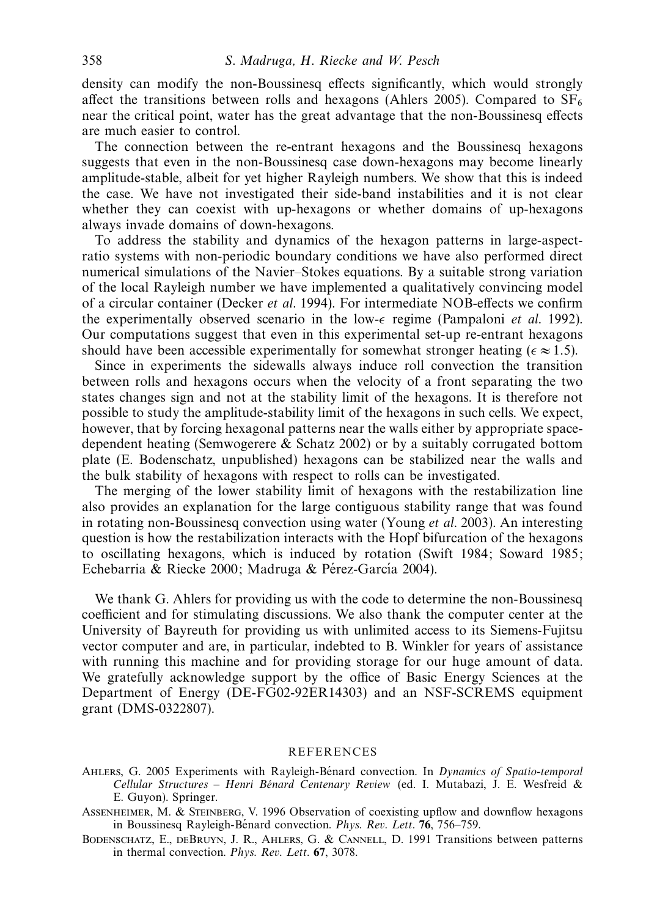density can modify the non-Boussinesq effects significantly, which would strongly affect the transitions between rolls and hexagons (Ahlers 2005). Compared to  $SF<sub>6</sub>$ near the critical point, water has the great advantage that the non-Boussinesq effects are much easier to control.

The connection between the re-entrant hexagons and the Boussinesq hexagons suggests that even in the non-Boussinesq case down-hexagons may become linearly amplitude-stable, albeit for yet higher Rayleigh numbers. We show that this is indeed the case. We have not investigated their side-band instabilities and it is not clear whether they can coexist with up-hexagons or whether domains of up-hexagons always invade domains of down-hexagons.

To address the stability and dynamics of the hexagon patterns in large-aspectratio systems with non-periodic boundary conditions we have also performed direct numerical simulations of the Navier–Stokes equations. By a suitable strong variation of the local Rayleigh number we have implemented a qualitatively convincing model of a circular container (Decker et al. 1994). For intermediate NOB-effects we confirm the experimentally observed scenario in the low- $\epsilon$  regime (Pampaloni *et al.* 1992). Our computations suggest that even in this experimental set-up re-entrant hexagons should have been accessible experimentally for somewhat stronger heating ( $\epsilon \approx 1.5$ ).

Since in experiments the sidewalls always induce roll convection the transition between rolls and hexagons occurs when the velocity of a front separating the two states changes sign and not at the stability limit of the hexagons. It is therefore not possible to study the amplitude-stability limit of the hexagons in such cells. We expect, however, that by forcing hexagonal patterns near the walls either by appropriate spacedependent heating (Semwogerere & Schatz 2002) or by a suitably corrugated bottom plate (E. Bodenschatz, unpublished) hexagons can be stabilized near the walls and the bulk stability of hexagons with respect to rolls can be investigated.

The merging of the lower stability limit of hexagons with the restabilization line also provides an explanation for the large contiguous stability range that was found in rotating non-Boussinesq convection using water (Young *et al.* 2003). An interesting question is how the restabilization interacts with the Hopf bifurcation of the hexagons to oscillating hexagons, which is induced by rotation (Swift 1984; Soward 1985; Echebarria & Riecke 2000; Madruga & Pérez-García 2004).

We thank G. Ahlers for providing us with the code to determine the non-Boussinesq coefficient and for stimulating discussions. We also thank the computer center at the University of Bayreuth for providing us with unlimited access to its Siemens-Fujitsu vector computer and are, in particular, indebted to B. Winkler for years of assistance with running this machine and for providing storage for our huge amount of data. We gratefully acknowledge support by the office of Basic Energy Sciences at the Department of Energy (DE-FG02-92ER14303) and an NSF-SCREMS equipment grant (DMS-0322807).

#### REFERENCES

- AHLERS, G. 2005 Experiments with Rayleigh-Bénard convection. In Dynamics of Spatio-temporal Cellular Structures - Henri Bénard Centenary Review (ed. I. Mutabazi, J. E. Wesfreid & E. Guyon). Springer.
- Assenheimer, M. & Steinberg, V. 1996 Observation of coexisting upflow and downflow hexagons in Boussinesq Rayleigh-Bénard convection. *Phys. Rev. Lett.* **76**, 756–759.
- Bodenschatz, E., deBruyn, J. R., Ahlers, G. & Cannell, D. 1991 Transitions between patterns in thermal convection. Phys. Rev. Lett. **67**, 3078.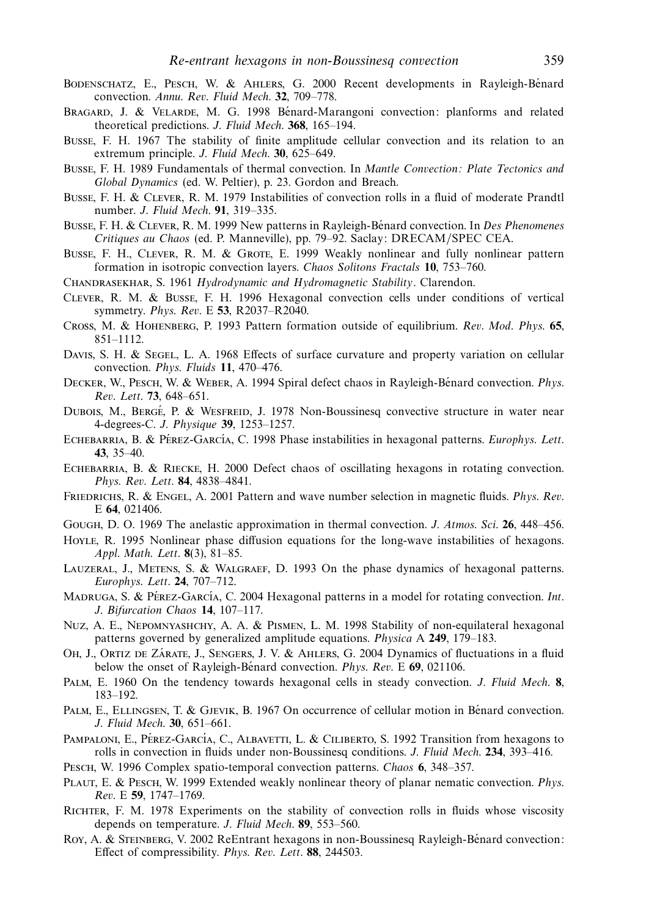- Bodenschatz, E., Pesch, W. & Ahlers, G. 2000 Recent developments in Rayleigh-Benard ´ convection. Annu. Rev. Fluid Mech. **32**, 709–778.
- BRAGARD, J. & VELARDE, M. G. 1998 Bénard-Marangoni convection: planforms and related theoretical predictions. J. Fluid Mech. **368**, 165–194.
- Busse, F. H. 1967 The stability of finite amplitude cellular convection and its relation to an extremum principle. J. Fluid Mech. **30**, 625–649.
- Busse, F. H. 1989 Fundamentals of thermal convection. In Mantle Convection: Plate Tectonics and Global Dynamics (ed. W. Peltier), p. 23. Gordon and Breach.
- Busse, F. H. & Clever, R. M. 1979 Instabilities of convection rolls in a fluid of moderate Prandtl number. J. Fluid Mech. **91**, 319–335.
- BUSSE, F. H. & CLEVER, R. M. 1999 New patterns in Rayleigh-Bénard convection. In Des Phenomenes Critiques au Chaos (ed. P. Manneville), pp. 79–92. Saclay: DRECAM/SPEC CEA.
- Busse, F. H., CLEVER, R. M. & GROTE, E. 1999 Weakly nonlinear and fully nonlinear pattern formation in isotropic convection layers. Chaos Solitons Fractals **10**, 753–760.
- CHANDRASEKHAR, S. 1961 Hydrodynamic and Hydromagnetic Stability. Clarendon.
- Clever, R. M. & Busse, F. H. 1996 Hexagonal convection cells under conditions of vertical symmetry. Phys. Rev. E **53**, R2037–R2040.
- Cross, M. & Hohenberg, P. 1993 Pattern formation outside of equilibrium. Rev. Mod. Phys. **65**, 851–1112.
- DAVIS, S. H. & SEGEL, L. A. 1968 Effects of surface curvature and property variation on cellular convection. Phys. Fluids **11**, 470–476.
- DECKER, W., PESCH, W. & WEBER, A. 1994 Spiral defect chaos in Rayleigh-Bénard convection. *Phys.* Rev. Lett. **73**, 648–651.
- DUBOIS, M., BERGÉ, P. & WESFREID, J. 1978 Non-Boussinesq convective structure in water near 4-degrees-C. J. Physique **39**, 1253–1257.
- ECHEBARRIA, B. & PÉREZ-GARCÍA, C. 1998 Phase instabilities in hexagonal patterns. Europhys. Lett. **43**, 35–40.
- ECHEBARRIA, B. & RIECKE, H. 2000 Defect chaos of oscillating hexagons in rotating convection. Phys. Rev. Lett. **84**, 4838–4841.
- FRIEDRICHS, R. & ENGEL, A. 2001 Pattern and wave number selection in magnetic fluids. Phys. Rev. E **64**, 021406.
- Gough, D. O. 1969 The anelastic approximation in thermal convection. J. Atmos. Sci. **26**, 448–456.
- Hoyle, R. 1995 Nonlinear phase diffusion equations for the long-wave instabilities of hexagons. Appl. Math. Lett. **8**(3), 81–85.
- Lauzeral, J., Metens, S. & Walgraef, D. 1993 On the phase dynamics of hexagonal patterns. Europhys. Lett. **24**, 707–712.
- MADRUGA, S. & PÉREZ-GARCÍA, C. 2004 Hexagonal patterns in a model for rotating convection. Int. J. Bifurcation Chaos **14**, 107–117.
- Nuz, A. E., Nepomnyashchy, A. A. & Pismen, L. M. 1998 Stability of non-equilateral hexagonal patterns governed by generalized amplitude equations. Physica A **249**, 179–183.
- OH, J., ORTIZ DE ZÁRATE, J., SENGERS, J. V. & AHLERS, G. 2004 Dynamics of fluctuations in a fluid below the onset of Rayleigh-Benard convection. *Phys. Rev. E* 69, 021106.
- Palm, E. 1960 On the tendency towards hexagonal cells in steady convection. J. Fluid Mech. **8**, 183–192.
- PALM, E., ELLINGSEN, T. & GJEVIK, B. 1967 On occurrence of cellular motion in Bénard convection. J. Fluid Mech. **30**, 651–661.
- PAMPALONI, E., PÉREZ-GARCÍA, C., ALBAVETTI, L. & CILIBERTO, S. 1992 Transition from hexagons to rolls in convection in fluids under non-Boussinesq conditions. J. Fluid Mech. **234**, 393–416.
- Pesch, W. 1996 Complex spatio-temporal convection patterns. Chaos **6**, 348–357.
- PLAUT, E. & PESCH, W. 1999 Extended weakly nonlinear theory of planar nematic convection. *Phys.* Rev. E **59**, 1747–1769.
- Richter, F. M. 1978 Experiments on the stability of convection rolls in fluids whose viscosity depends on temperature. J. Fluid Mech. **89**, 553–560.
- Roy, A. & STEINBERG, V. 2002 ReEntrant hexagons in non-Boussinesq Rayleigh-Bénard convection: Effect of compressibility. Phys. Rev. Lett. **88**, 244503.